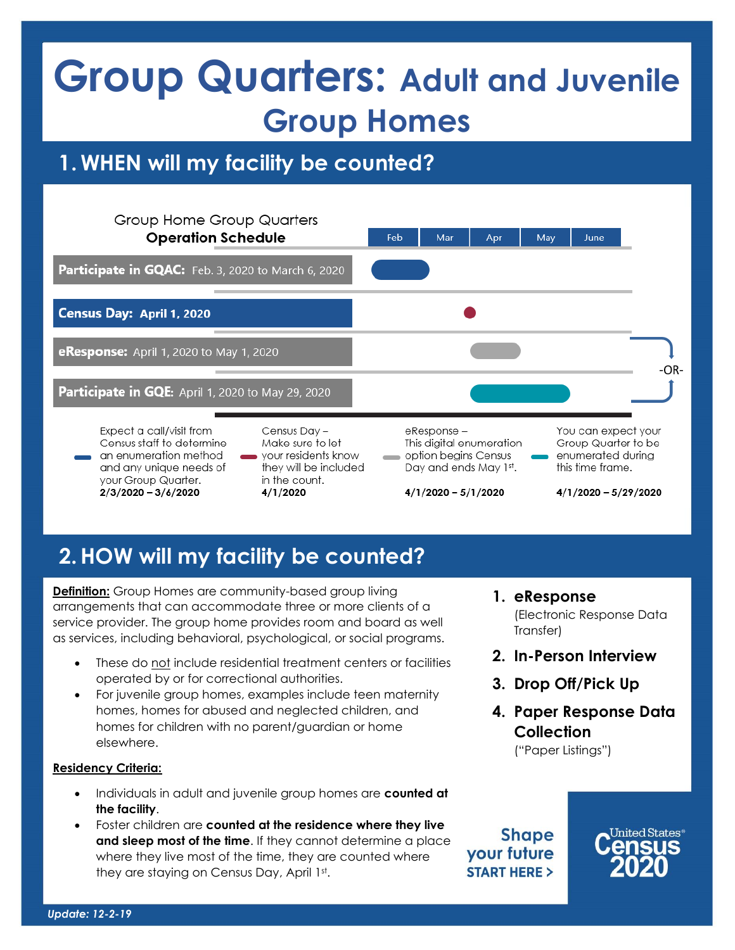## **Group Quarters: Adult and Juvenile Group Homes**

## **1. WHEN will my facility be counted?**



## **2.HOW will my facility be counted?**

**Definition:** Group Homes are community-based group living arrangements that can accommodate three or more clients of a service provider. The group home provides room and board as well as services, including behavioral, psychological, or social programs.

- These do not include residential treatment centers or facilities operated by or for correctional authorities.
- For juvenile group homes, examples include teen maternity homes, homes for abused and neglected children, and homes for children with no parent/guardian or home elsewhere.

#### **Residency Criteria:**

- Individuals in adult and juvenile group homes are **counted at the facility**.
- Foster children are **counted at the residence where they live and sleep most of the time**. If they cannot determine a place where they live most of the time, they are counted where they are staying on Census Day, April 1st .

(Electronic Response Data Transfer) **2. In-Person Interview**

**1. eResponse**

- **3. Drop Off/Pick Up**
- **4. Paper Response Data Collection** ("Paper Listings")

**Shape** your future **START HERE >**